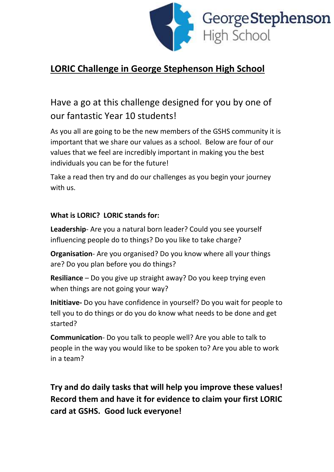

# **LORIC Challenge in George Stephenson High School**

Have a go at this challenge designed for you by one of our fantastic Year 10 students!

As you all are going to be the new members of the GSHS community it is important that we share our values as a school. Below are four of our values that we feel are incredibly important in making you the best individuals you can be for the future!

Take a read then try and do our challenges as you begin your journey with us.

#### **What is LORIC? LORIC stands for:**

**Leadership**- Are you a natural born leader? Could you see yourself influencing people do to things? Do you like to take charge?

**Organisation**- Are you organised? Do you know where all your things are? Do you plan before you do things?

**Resiliance** – Do you give up straight away? Do you keep trying even when things are not going your way?

**Inititiave-** Do you have confidence in yourself? Do you wait for people to tell you to do things or do you do know what needs to be done and get started?

**Communication**- Do you talk to people well? Are you able to talk to people in the way you would like to be spoken to? Are you able to work in a team?

**Try and do daily tasks that will help you improve these values! Record them and have it for evidence to claim your first LORIC card at GSHS. Good luck everyone!**